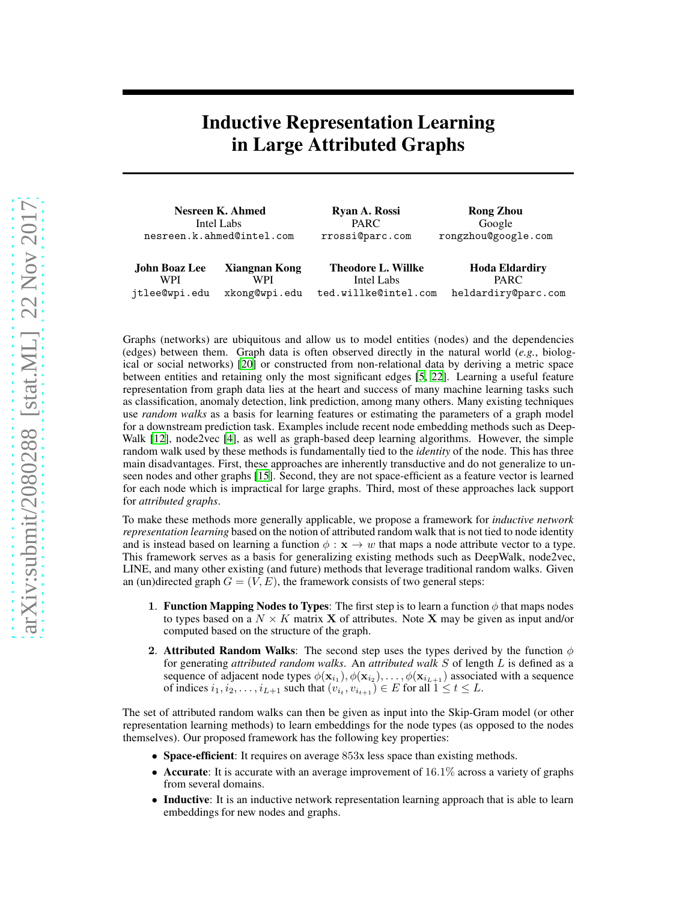## Inductive Representation Learning in Large Attributed Graphs

| Nesreen K. Ahmed          |               | Ryan A. Rossi             | <b>Rong Zhou</b>      |  |
|---------------------------|---------------|---------------------------|-----------------------|--|
| Intel Labs                |               | <b>PARC</b>               | Google                |  |
| nesreen.k.ahmed@intel.com |               | rrossi@parc.com           | rongzhou@google.com   |  |
| John Boaz Lee             | Xiangnan Kong | <b>Theodore L. Willke</b> | <b>Hoda Eldardiry</b> |  |
| WPI                       | WPI           | Intel Labs                | <b>PARC</b>           |  |
| jtlee@wpi.edu             | xkong@wpi.edu | ted.willke@intel.com      | heldardiry@parc.com   |  |

Graphs (networks) are ubiquitous and allow us to model entities (nodes) and the dependencies (edges) between them. Graph data is often observed directly in the natural world (*e.g.*, biological or social networks) [\[20](#page-2-0)] or constructed from non-relational data by deriving a metric space between entities and retaining only the most significant edges [\[5](#page-2-1), [22](#page-2-2)]. Learning a useful feature representation from graph data lies at the heart and success of many machine learning tasks such as classification, anomaly detection, link prediction, among many others. Many existing techniques use *random walks* as a basis for learning features or estimating the parameters of a graph model for a downstream prediction task. Examples include recent node embedding methods such as Deep-Walk [\[12](#page-2-3)], node2vec [\[4\]](#page-2-4), as well as graph-based deep learning algorithms. However, the simple random walk used by these methods is fundamentally tied to the *identity* of the node. This has three main disadvantages. First, these approaches are inherently transductive and do not generalize to unseen nodes and other graphs [\[15\]](#page-2-5). Second, they are not space-efficient as a feature vector is learned for each node which is impractical for large graphs. Third, most of these approaches lack support for *attributed graphs*.

To make these methods more generally applicable, we propose a framework for *inductive network representation learning* based on the notion of attributed random walk that is not tied to node identity and is instead based on learning a function  $\phi : \mathbf{x} \to w$  that maps a node attribute vector to a type. This framework serves as a basis for generalizing existing methods such as DeepWalk, node2vec, LINE, and many other existing (and future) methods that leverage traditional random walks. Given an (un)directed graph  $G = (V, E)$ , the framework consists of two general steps:

- 1. Function Mapping Nodes to Types: The first step is to learn a function  $\phi$  that maps nodes to types based on a  $N \times K$  matrix **X** of attributes. Note **X** may be given as input and/or computed based on the structure of the graph.
- 2. Attributed Random Walks: The second step uses the types derived by the function  $\phi$ for generating *attributed random walks*. An *attributed walk* S of length L is defined as a sequence of adjacent node types  $\phi(\mathbf{x}_{i_1}), \phi(\mathbf{x}_{i_2}), \dots, \phi(\mathbf{x}_{i_{L+1}})$  associated with a sequence of indices  $i_1, i_2, \ldots, i_{L+1}$  such that  $(v_{i_t}, v_{i_{t+1}}) \in E$  for all  $1 \le t \le L$ .

The set of attributed random walks can then be given as input into the Skip-Gram model (or other representation learning methods) to learn embeddings for the node types (as opposed to the nodes themselves). Our proposed framework has the following key properties:

- Space-efficient: It requires on average 853x less space than existing methods.
- **Accurate**: It is accurate with an average improvement of  $16.1\%$  across a variety of graphs from several domains.
- Inductive: It is an inductive network representation learning approach that is able to learn embeddings for new nodes and graphs.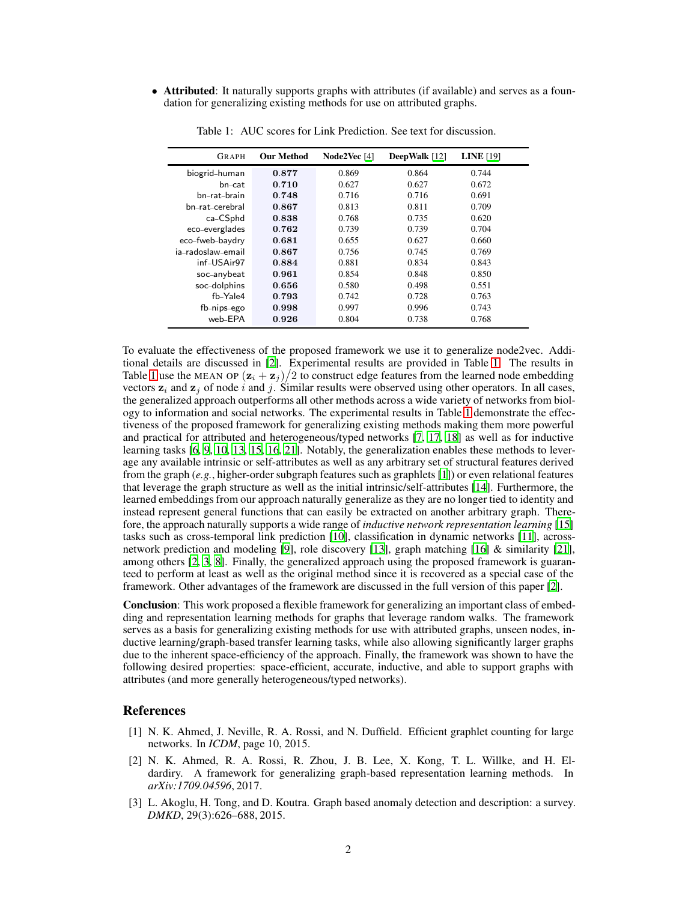• Attributed: It naturally supports graphs with attributes (if available) and serves as a foundation for generalizing existing methods for use on attributed graphs.

| <b>GRAPH</b>      | <b>Our Method</b> | Node2Vec [4] | DeepWalk [12] | <b>LINE</b> [19] |
|-------------------|-------------------|--------------|---------------|------------------|
| biogrid-human     | 0.877             | 0.869        | 0.864         | 0.744            |
| bn-cat            | 0.710             | 0.627        | 0.627         | 0.672            |
| bn-rat-brain      | 0.748             | 0.716        | 0.716         | 0.691            |
| bn_rat_cerebral   | 0.867             | 0.813        | 0.811         | 0.709            |
| ca-CSphd          | 0.838             | 0.768        | 0.735         | 0.620            |
| eco-everglades    | 0.762             | 0.739        | 0.739         | 0.704            |
| eco-fweb-baydry   | 0.681             | 0.655        | 0.627         | 0.660            |
| ia-radoslaw-email | 0.867             | 0.756        | 0.745         | 0.769            |
| inf-USAir97       | 0.884             | 0.881        | 0.834         | 0.843            |
| soc-anybeat       | 0.961             | 0.854        | 0.848         | 0.850            |
| soc-dolphins      | 0.656             | 0.580        | 0.498         | 0.551            |
| fb-Yale4          | 0.793             | 0.742        | 0.728         | 0.763            |
| fb-nips-ego       | 0.998             | 0.997        | 0.996         | 0.743            |
| web-EPA           | 0.926             | 0.804        | 0.738         | 0.768            |

<span id="page-1-1"></span>Table 1: AUC scores for Link Prediction. See text for discussion.

To evaluate the effectiveness of the proposed framework we use it to generalize node2vec. Additional details are discussed in [\[2\]](#page-1-0). Experimental results are provided in Table [1.](#page-1-1) The results in Table [1](#page-1-1) use the MEAN OP  $(\mathbf{z}_i + \mathbf{z}_j)/2$  to construct edge features from the learned node embedding vectors  $z_i$  and  $z_j$  of node i and j. Similar results were observed using other operators. In all cases, the generalized approach outperforms all other methods across a wide variety of networks from biology to information and social networks. The experimental results in Table [1](#page-1-1) demonstrate the effectiveness of the proposed framework for generalizing existing methods making them more powerful and practical for attributed and heterogeneous/typed networks [\[7,](#page-2-7) [17,](#page-2-8) [18](#page-2-9)] as well as for inductive learning tasks [\[6](#page-2-10), [9](#page-2-11), [10,](#page-2-12) [13,](#page-2-13) [15,](#page-2-5) [16](#page-2-14), [21](#page-2-15)]. Notably, the generalization enables these methods to leverage any available intrinsic or self-attributes as well as any arbitrary set of structural features derived from the graph (*e.g.*, higher-order subgraph features such as graphlets [\[1\]](#page-1-2)) or even relational features that leverage the graph structure as well as the initial intrinsic/self-attributes [\[14\]](#page-2-16). Furthermore, the learned embeddings from our approach naturally generalize as they are no longer tied to identity and instead represent general functions that can easily be extracted on another arbitrary graph. Therefore, the approach naturally supports a wide range of *inductive network representation learning* [\[15\]](#page-2-5) tasks such as cross-temporal link prediction [\[10](#page-2-12)], classification in dynamic networks [\[11](#page-2-17)], acrossnetwork prediction and modeling [\[9\]](#page-2-11), role discovery [\[13\]](#page-2-13), graph matching [\[16\]](#page-2-14) & similarity [\[21\]](#page-2-15), among others [\[2,](#page-1-0) [3,](#page-1-3) [8](#page-2-18)]. Finally, the generalized approach using the proposed framework is guaranteed to perform at least as well as the original method since it is recovered as a special case of the framework. Other advantages of the framework are discussed in the full version of this paper [\[2\]](#page-1-0).

Conclusion: This work proposed a flexible framework for generalizing an important class of embedding and representation learning methods for graphs that leverage random walks. The framework serves as a basis for generalizing existing methods for use with attributed graphs, unseen nodes, inductive learning/graph-based transfer learning tasks, while also allowing significantly larger graphs due to the inherent space-efficiency of the approach. Finally, the framework was shown to have the following desired properties: space-efficient, accurate, inductive, and able to support graphs with attributes (and more generally heterogeneous/typed networks).

## References

- <span id="page-1-2"></span>[1] N. K. Ahmed, J. Neville, R. A. Rossi, and N. Duffield. Efficient graphlet counting for large networks. In *ICDM*, page 10, 2015.
- <span id="page-1-0"></span>[2] N. K. Ahmed, R. A. Rossi, R. Zhou, J. B. Lee, X. Kong, T. L. Willke, and H. Eldardiry. A framework for generalizing graph-based representation learning methods. In *arXiv:1709.04596*, 2017.
- <span id="page-1-3"></span>[3] L. Akoglu, H. Tong, and D. Koutra. Graph based anomaly detection and description: a survey. *DMKD*, 29(3):626–688, 2015.